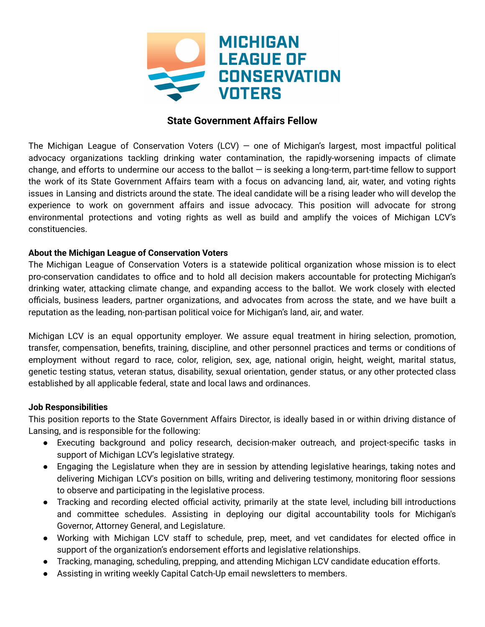

# **State Government Affairs Fellow**

The Michigan League of Conservation Voters (LCV) – one of Michigan's largest, most impactful political advocacy organizations tackling drinking water contamination, the rapidly-worsening impacts of climate change, and efforts to undermine our access to the ballot — is seeking a long-term, part-time fellow to support the work of its State Government Affairs team with a focus on advancing land, air, water, and voting rights issues in Lansing and districts around the state. The ideal candidate will be a rising leader who will develop the experience to work on government affairs and issue advocacy. This position will advocate for strong environmental protections and voting rights as well as build and amplify the voices of Michigan LCV's constituencies.

### **About the Michigan League of Conservation Voters**

The Michigan League of Conservation Voters is a statewide political organization whose mission is to elect pro-conservation candidates to office and to hold all decision makers accountable for protecting Michigan's drinking water, attacking climate change, and expanding access to the ballot. We work closely with elected officials, business leaders, partner organizations, and advocates from across the state, and we have built a reputation as the leading, non-partisan political voice for Michigan's land, air, and water.

Michigan LCV is an equal opportunity employer. We assure equal treatment in hiring selection, promotion, transfer, compensation, benefits, training, discipline, and other personnel practices and terms or conditions of employment without regard to race, color, religion, sex, age, national origin, height, weight, marital status, genetic testing status, veteran status, disability, sexual orientation, gender status, or any other protected class established by all applicable federal, state and local laws and ordinances.

### **Job Responsibilities**

This position reports to the State Government Affairs Director, is ideally based in or within driving distance of Lansing, and is responsible for the following:

- Executing background and policy research, decision-maker outreach, and project-specific tasks in support of Michigan LCV's legislative strategy.
- Engaging the Legislature when they are in session by attending legislative hearings, taking notes and delivering Michigan LCV's position on bills, writing and delivering testimony, monitoring floor sessions to observe and participating in the legislative process.
- Tracking and recording elected official activity, primarily at the state level, including bill introductions and committee schedules. Assisting in deploying our digital accountability tools for Michigan's Governor, Attorney General, and Legislature.
- Working with Michigan LCV staff to schedule, prep, meet, and vet candidates for elected office in support of the organization's endorsement efforts and legislative relationships.
- Tracking, managing, scheduling, prepping, and attending Michigan LCV candidate education efforts.
- Assisting in writing weekly Capital Catch-Up email newsletters to members.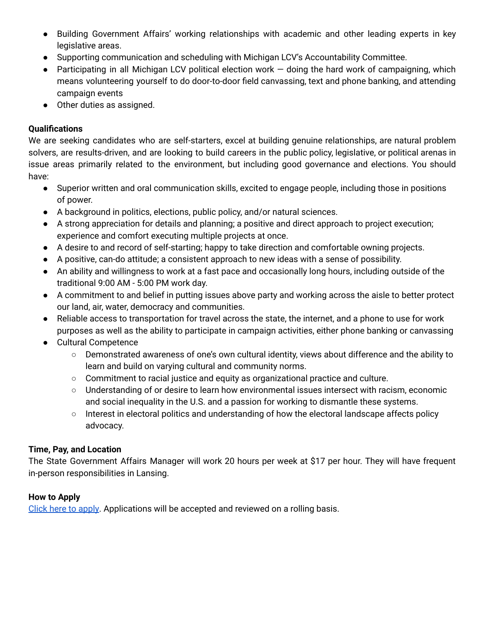- Building Government Affairs' working relationships with academic and other leading experts in key legislative areas.
- Supporting communication and scheduling with Michigan LCV's Accountability Committee.
- Participating in all Michigan LCV political election work doing the hard work of campaigning, which means volunteering yourself to do door-to-door field canvassing, text and phone banking, and attending campaign events
- Other duties as assigned.

## **Qualifications**

We are seeking candidates who are self-starters, excel at building genuine relationships, are natural problem solvers, are results-driven, and are looking to build careers in the public policy, legislative, or political arenas in issue areas primarily related to the environment, but including good governance and elections. You should have:

- Superior written and oral communication skills, excited to engage people, including those in positions of power.
- A background in politics, elections, public policy, and/or natural sciences.
- A strong appreciation for details and planning; a positive and direct approach to project execution; experience and comfort executing multiple projects at once.
- A desire to and record of self-starting; happy to take direction and comfortable owning projects.
- A positive, can-do attitude; a consistent approach to new ideas with a sense of possibility.
- An ability and willingness to work at a fast pace and occasionally long hours, including outside of the traditional 9:00 AM - 5:00 PM work day.
- A commitment to and belief in putting issues above party and working across the aisle to better protect our land, air, water, democracy and communities.
- Reliable access to transportation for travel across the state, the internet, and a phone to use for work purposes as well as the ability to participate in campaign activities, either phone banking or canvassing
- Cultural Competence
	- Demonstrated awareness of one's own cultural identity, views about difference and the ability to learn and build on varying cultural and community norms.
	- Commitment to racial justice and equity as organizational practice and culture.
	- Understanding of or desire to learn how environmental issues intersect with racism, economic and social inequality in the U.S. and a passion for working to dismantle these systems.
	- Interest in electoral politics and understanding of how the electoral landscape affects policy advocacy.

## **Time, Pay, and Location**

The State Government Affairs Manager will work 20 hours per week at \$17 per hour. They will have frequent in-person responsibilities in Lansing.

### **How to Apply**

Click here to [apply](https://airtable.com/shrtD9CXWoMGmruXZ). Applications will be accepted and reviewed on a rolling basis.